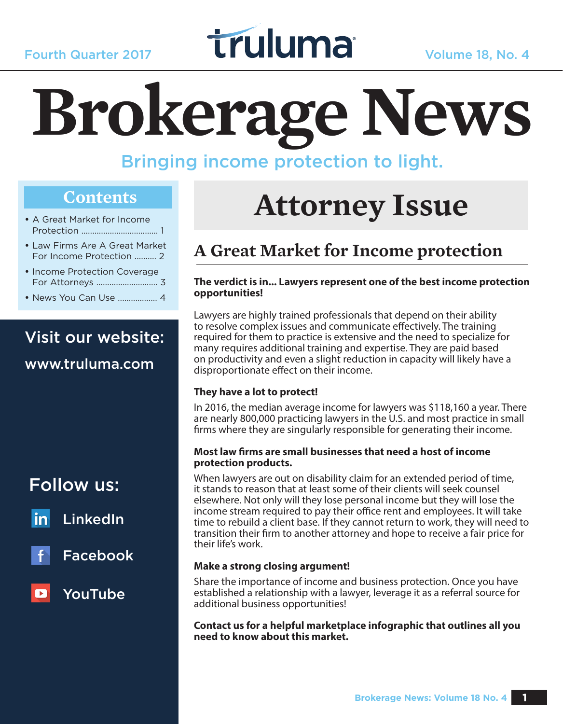

# **Brokerage News**

## Bringing income protection to light.

### **Contents**

- A Great Market for Income Protection ................................... 1
- Law Firms Are A Great Market For Income Protection .......... 2
- Income Protection Coverage For Attorneys ............................ 3
- News You Can Use .................. 4

# Visit our website:

#### www.truluma.com

## Follow us:

LinkedIn <u>in</u>



Facebook

## YouTube

# **Attorney Issue**

# **A Great Market for Income protection**

#### **The verdict is in... Lawyers represent one of the best income protection opportunities!**

Lawyers are highly trained professionals that depend on their ability to resolve complex issues and communicate effectively. The training required for them to practice is extensive and the need to specialize for many requires additional training and expertise. They are paid based on productivity and even a slight reduction in capacity will likely have a disproportionate effect on their income.

#### **They have a lot to protect!**

In 2016, the median average income for lawyers was \$118,160 a year. There are nearly 800,000 practicing lawyers in the U.S. and most practice in small firms where they are singularly responsible for generating their income.

#### **Most law firms are small businesses that need a host of income protection products.**

When lawyers are out on disability claim for an extended period of time, it stands to reason that at least some of their clients will seek counsel elsewhere. Not only will they lose personal income but they will lose the income stream required to pay their office rent and employees. It will take time to rebuild a client base. If they cannot return to work, they will need to transition their firm to another attorney and hope to receive a fair price for their life's work.

#### **Make a strong closing argument!**

Share the importance of income and business protection. Once you have established a relationship with a lawyer, leverage it as a referral source for additional business opportunities!

**Contact us for a helpful marketplace infographic that outlines all you need to know about this market.**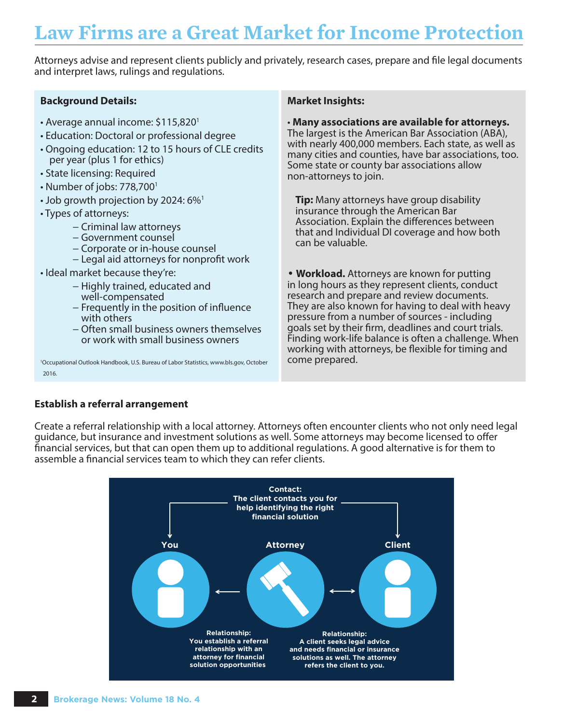# **Law Firms are a Great Market for Income Protection**

Attorneys advise and represent clients publicly and privately, research cases, prepare and file legal documents and interpret laws, rulings and regulations.

#### **Background Details:**

- Average annual income: \$115,8201
- Education: Doctoral or professional degree
- Ongoing education: 12 to 15 hours of CLE credits per year (plus 1 for ethics)
- State licensing: Required
- Number of jobs: 778,7001
- Job growth projection by 2024: 6%<sup>1</sup>
- Types of attorneys:
	- − Criminal law attorneys
	- − Government counsel
	- − Corporate or in-house counsel
	- − Legal aid attorneys for nonprofit work
- Ideal market because they're:
	- − Highly trained, educated and well-compensated
	- − Frequently in the position of influence with others
	- − Often small business owners themselves or work with small business owners

1 Occupational Outlook Handbook, U.S. Bureau of Labor Statistics, www.bls.gov, October 2016.

#### **Market Insights:**

#### • **Many associations are available for attorneys.**

The largest is the American Bar Association (ABA), with nearly 400,000 members. Each state, as well as many cities and counties, have bar associations, too. Some state or county bar associations allow non-attorneys to join.

**Tip:** Many attorneys have group disability insurance through the American Bar Association. Explain the differences between that and Individual DI coverage and how both can be valuable.

• **Workload.** Attorneys are known for putting in long hours as they represent clients, conduct research and prepare and review documents. They are also known for having to deal with heavy pressure from a number of sources - including goals set by their firm, deadlines and court trials. Finding work-life balance is often a challenge. When working with attorneys, be flexible for timing and come prepared.

#### **Establish a referral arrangement**

Create a referral relationship with a local attorney. Attorneys often encounter clients who not only need legal guidance, but insurance and investment solutions as well. Some attorneys may become licensed to offer financial services, but that can open them up to additional regulations. A good alternative is for them to assemble a financial services team to which they can refer clients.

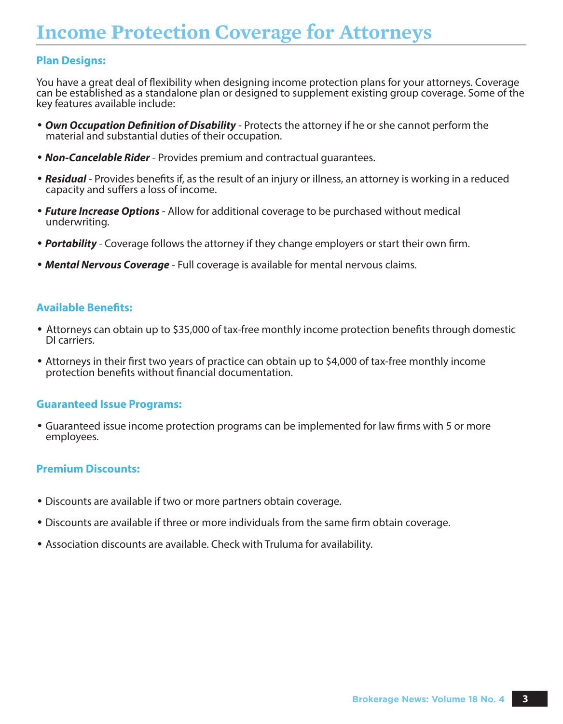# **Income Protection Coverage for Attorneys**

#### **Plan Designs:**

You have a great deal of flexibility when designing income protection plans for your attorneys. Coverage can be established as a standalone plan or designed to supplement existing group coverage. Some of the key features available include:

- • *Own Occupation Definition of Disability* Protects the attorney if he or she cannot perform the material and substantial duties of their occupation.
- • *Non-Cancelable Rider* Provides premium and contractual guarantees.
- • *Residual* Provides benefits if, as the result of an injury or illness, an attorney is working in a reduced capacity and suffers a loss of income.
- • *Future Increase Options* Allow for additional coverage to be purchased without medical underwriting.
- • *Portability*  Coverage follows the attorney if they change employers or start their own firm.
- • *Mental Nervous Coverage* Full coverage is available for mental nervous claims.

#### **Available Benefits:**

- Attorneys can obtain up to \$35,000 of tax-free monthly income protection benefits through domestic DI carriers.
- Attorneys in their first two years of practice can obtain up to \$4,000 of tax-free monthly income protection benefits without financial documentation.

#### **Guaranteed Issue Programs:**

• Guaranteed issue income protection programs can be implemented for law firms with 5 or more employees.

#### **Premium Discounts:**

- Discounts are available if two or more partners obtain coverage.
- Discounts are available if three or more individuals from the same firm obtain coverage.
- Association discounts are available. Check with Truluma for availability.